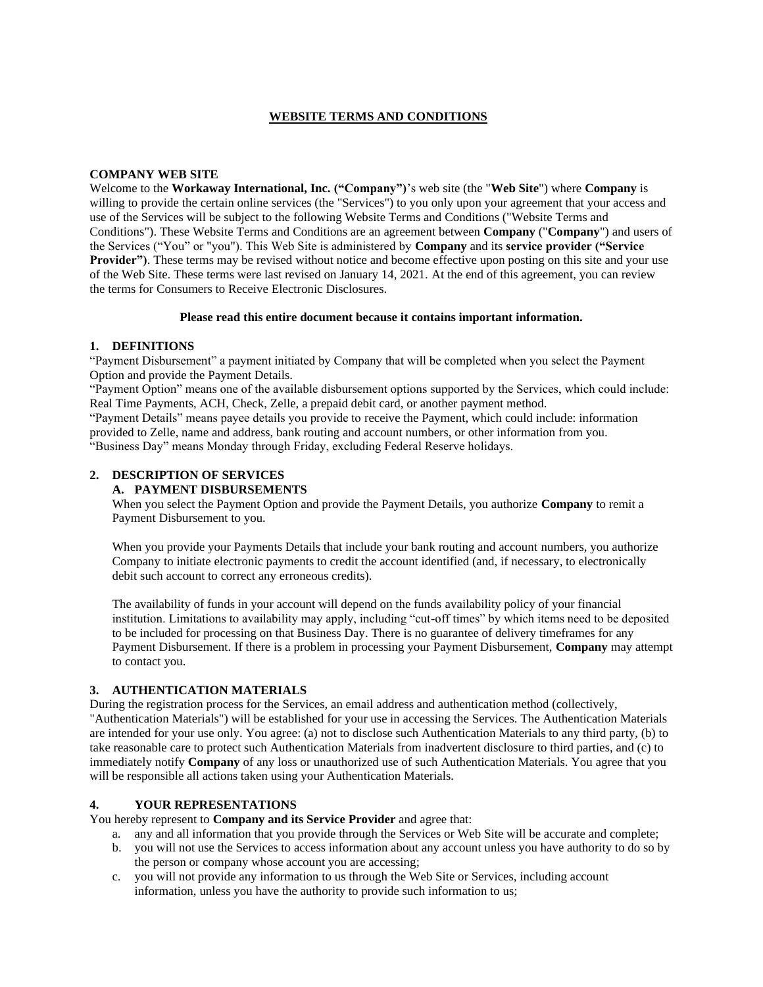#### **WEBSITE TERMS AND CONDITIONS**

#### **COMPANY WEB SITE**

Welcome to the **Workaway International, Inc. ("Company")**'s web site (the "**Web Site**") where **Company** is willing to provide the certain online services (the "Services") to you only upon your agreement that your access and use of the Services will be subject to the following Website Terms and Conditions ("Website Terms and Conditions"). These Website Terms and Conditions are an agreement between **Company** ("**Company**") and users of the Services ("You" or "you"). This Web Site is administered by **Company** and its **service provider ("Service Provider")**. These terms may be revised without notice and become effective upon posting on this site and your use of the Web Site. These terms were last revised on January 14, 2021. At the end of this agreement, you can review the terms for Consumers to Receive Electronic Disclosures.

#### **Please read this entire document because it contains important information.**

#### **1. DEFINITIONS**

"Payment Disbursement" a payment initiated by Company that will be completed when you select the Payment Option and provide the Payment Details.

"Payment Option" means one of the available disbursement options supported by the Services, which could include: Real Time Payments, ACH, Check, Zelle, a prepaid debit card, or another payment method.

"Payment Details" means payee details you provide to receive the Payment, which could include: information provided to Zelle, name and address, bank routing and account numbers, or other information from you. "Business Day" means Monday through Friday, excluding Federal Reserve holidays.

# **2. DESCRIPTION OF SERVICES**

**A. PAYMENT DISBURSEMENTS**

When you select the Payment Option and provide the Payment Details, you authorize **Company** to remit a Payment Disbursement to you.

When you provide your Payments Details that include your bank routing and account numbers, you authorize Company to initiate electronic payments to credit the account identified (and, if necessary, to electronically debit such account to correct any erroneous credits).

The availability of funds in your account will depend on the funds availability policy of your financial institution. Limitations to availability may apply, including "cut-off times" by which items need to be deposited to be included for processing on that Business Day. There is no guarantee of delivery timeframes for any Payment Disbursement. If there is a problem in processing your Payment Disbursement, **Company** may attempt to contact you.

#### **3. AUTHENTICATION MATERIALS**

During the registration process for the Services, an email address and authentication method (collectively, "Authentication Materials") will be established for your use in accessing the Services. The Authentication Materials are intended for your use only. You agree: (a) not to disclose such Authentication Materials to any third party, (b) to take reasonable care to protect such Authentication Materials from inadvertent disclosure to third parties, and (c) to immediately notify **Company** of any loss or unauthorized use of such Authentication Materials. You agree that you will be responsible all actions taken using your Authentication Materials.

#### **4. YOUR REPRESENTATIONS**

You hereby represent to **Company and its Service Provider** and agree that:

- a. any and all information that you provide through the Services or Web Site will be accurate and complete;
- b. you will not use the Services to access information about any account unless you have authority to do so by the person or company whose account you are accessing;
- c. you will not provide any information to us through the Web Site or Services, including account information, unless you have the authority to provide such information to us;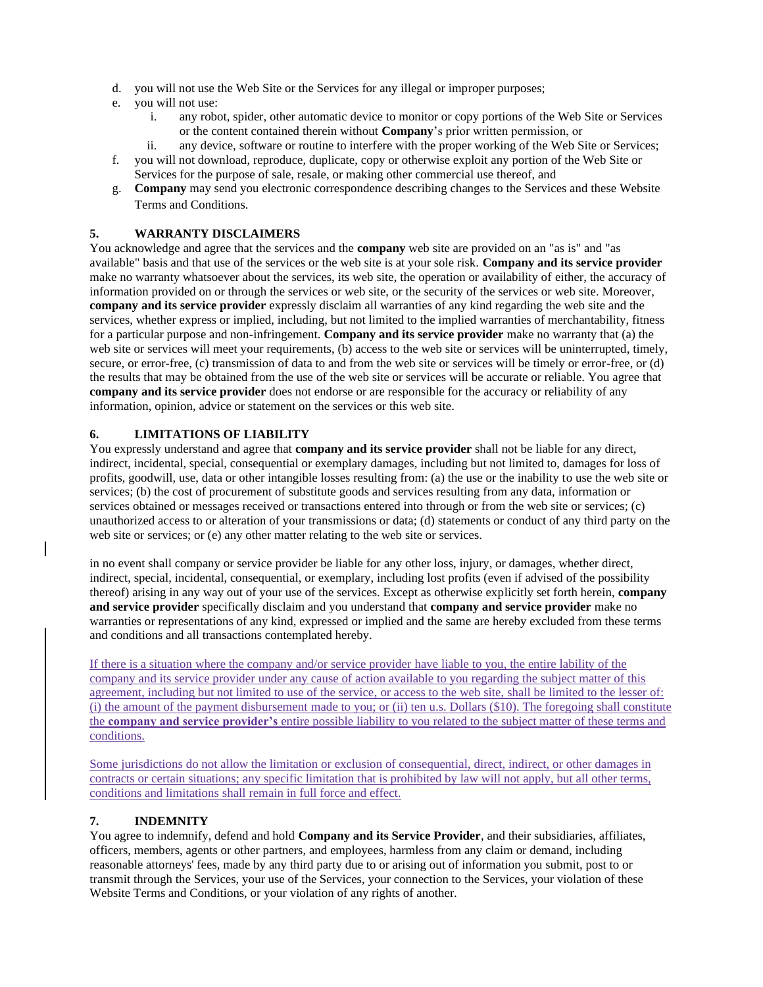- d. you will not use the Web Site or the Services for any illegal or improper purposes;
- e. you will not use:
	- i. any robot, spider, other automatic device to monitor or copy portions of the Web Site or Services or the content contained therein without **Company**'s prior written permission, or
	- ii. any device, software or routine to interfere with the proper working of the Web Site or Services;
- f. you will not download, reproduce, duplicate, copy or otherwise exploit any portion of the Web Site or Services for the purpose of sale, resale, or making other commercial use thereof, and
- g. **Company** may send you electronic correspondence describing changes to the Services and these Website Terms and Conditions.

#### **5. WARRANTY DISCLAIMERS**

You acknowledge and agree that the services and the **company** web site are provided on an "as is" and "as available" basis and that use of the services or the web site is at your sole risk. **Company and its service provider** make no warranty whatsoever about the services, its web site, the operation or availability of either, the accuracy of information provided on or through the services or web site, or the security of the services or web site. Moreover, **company and its service provider** expressly disclaim all warranties of any kind regarding the web site and the services, whether express or implied, including, but not limited to the implied warranties of merchantability, fitness for a particular purpose and non-infringement. **Company and its service provider** make no warranty that (a) the web site or services will meet your requirements, (b) access to the web site or services will be uninterrupted, timely, secure, or error-free, (c) transmission of data to and from the web site or services will be timely or error-free, or (d) the results that may be obtained from the use of the web site or services will be accurate or reliable. You agree that **company and its service provider** does not endorse or are responsible for the accuracy or reliability of any information, opinion, advice or statement on the services or this web site.

#### **6. LIMITATIONS OF LIABILITY**

You expressly understand and agree that **company and its service provider** shall not be liable for any direct, indirect, incidental, special, consequential or exemplary damages, including but not limited to, damages for loss of profits, goodwill, use, data or other intangible losses resulting from: (a) the use or the inability to use the web site or services; (b) the cost of procurement of substitute goods and services resulting from any data, information or services obtained or messages received or transactions entered into through or from the web site or services; (c) unauthorized access to or alteration of your transmissions or data; (d) statements or conduct of any third party on the web site or services; or (e) any other matter relating to the web site or services.

in no event shall company or service provider be liable for any other loss, injury, or damages, whether direct, indirect, special, incidental, consequential, or exemplary, including lost profits (even if advised of the possibility thereof) arising in any way out of your use of the services. Except as otherwise explicitly set forth herein, **company and service provider** specifically disclaim and you understand that **company and service provider** make no warranties or representations of any kind, expressed or implied and the same are hereby excluded from these terms and conditions and all transactions contemplated hereby.

If there is a situation where the company and/or service provider have liable to you, the entire lability of the company and its service provider under any cause of action available to you regarding the subject matter of this agreement, including but not limited to use of the service, or access to the web site, shall be limited to the lesser of: (i) the amount of the payment disbursement made to you; or (ii) ten u.s. Dollars (\$10). The foregoing shall constitute the **company and service provider's** entire possible liability to you related to the subject matter of these terms and conditions.

Some jurisdictions do not allow the limitation or exclusion of consequential, direct, indirect, or other damages in contracts or certain situations; any specific limitation that is prohibited by law will not apply, but all other terms, conditions and limitations shall remain in full force and effect.

## **7. INDEMNITY**

You agree to indemnify, defend and hold **Company and its Service Provider**, and their subsidiaries, affiliates, officers, members, agents or other partners, and employees, harmless from any claim or demand, including reasonable attorneys' fees, made by any third party due to or arising out of information you submit, post to or transmit through the Services, your use of the Services, your connection to the Services, your violation of these Website Terms and Conditions, or your violation of any rights of another.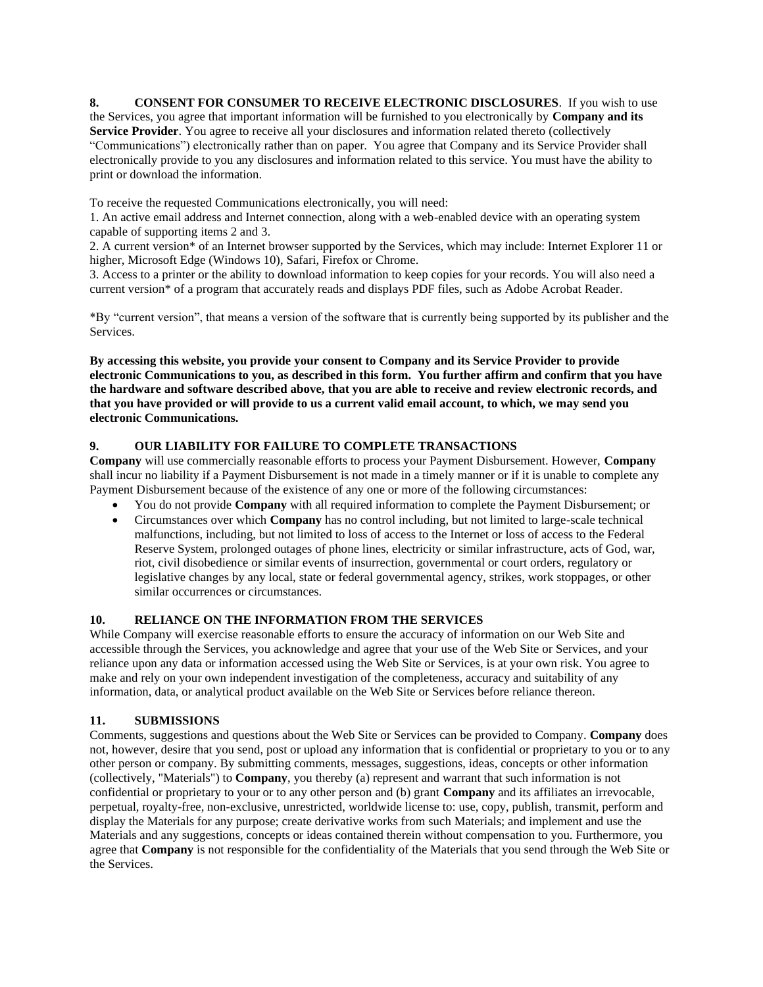**8. CONSENT FOR CONSUMER TO RECEIVE ELECTRONIC DISCLOSURES**. If you wish to use the Services, you agree that important information will be furnished to you electronically by **Company and its Service Provider**. You agree to receive all your disclosures and information related thereto (collectively "Communications") electronically rather than on paper. You agree that Company and its Service Provider shall electronically provide to you any disclosures and information related to this service. You must have the ability to print or download the information.

To receive the requested Communications electronically, you will need:

1. An active email address and Internet connection, along with a web-enabled device with an operating system capable of supporting items 2 and 3.

2. A current version\* of an Internet browser supported by the Services, which may include: Internet Explorer 11 or higher, Microsoft Edge (Windows 10), Safari, Firefox or Chrome.

3. Access to a printer or the ability to download information to keep copies for your records. You will also need a current version\* of a program that accurately reads and displays PDF files, such as Adobe Acrobat Reader.

\*By "current version", that means a version of the software that is currently being supported by its publisher and the Services.

**By accessing this website, you provide your consent to Company and its Service Provider to provide electronic Communications to you, as described in this form. You further affirm and confirm that you have the hardware and software described above, that you are able to receive and review electronic records, and that you have provided or will provide to us a current valid email account, to which, we may send you electronic Communications.** 

#### **9. OUR LIABILITY FOR FAILURE TO COMPLETE TRANSACTIONS**

**Company** will use commercially reasonable efforts to process your Payment Disbursement. However, **Company** shall incur no liability if a Payment Disbursement is not made in a timely manner or if it is unable to complete any Payment Disbursement because of the existence of any one or more of the following circumstances:

- You do not provide **Company** with all required information to complete the Payment Disbursement; or
- Circumstances over which **Company** has no control including, but not limited to large-scale technical malfunctions, including, but not limited to loss of access to the Internet or loss of access to the Federal Reserve System, prolonged outages of phone lines, electricity or similar infrastructure, acts of God, war, riot, civil disobedience or similar events of insurrection, governmental or court orders, regulatory or legislative changes by any local, state or federal governmental agency, strikes, work stoppages, or other similar occurrences or circumstances.

#### **10. RELIANCE ON THE INFORMATION FROM THE SERVICES**

While Company will exercise reasonable efforts to ensure the accuracy of information on our Web Site and accessible through the Services, you acknowledge and agree that your use of the Web Site or Services, and your reliance upon any data or information accessed using the Web Site or Services, is at your own risk. You agree to make and rely on your own independent investigation of the completeness, accuracy and suitability of any information, data, or analytical product available on the Web Site or Services before reliance thereon.

## **11. SUBMISSIONS**

Comments, suggestions and questions about the Web Site or Services can be provided to Company. **Company** does not, however, desire that you send, post or upload any information that is confidential or proprietary to you or to any other person or company. By submitting comments, messages, suggestions, ideas, concepts or other information (collectively, "Materials") to **Company**, you thereby (a) represent and warrant that such information is not confidential or proprietary to your or to any other person and (b) grant **Company** and its affiliates an irrevocable, perpetual, royalty-free, non-exclusive, unrestricted, worldwide license to: use, copy, publish, transmit, perform and display the Materials for any purpose; create derivative works from such Materials; and implement and use the Materials and any suggestions, concepts or ideas contained therein without compensation to you. Furthermore, you agree that **Company** is not responsible for the confidentiality of the Materials that you send through the Web Site or the Services.